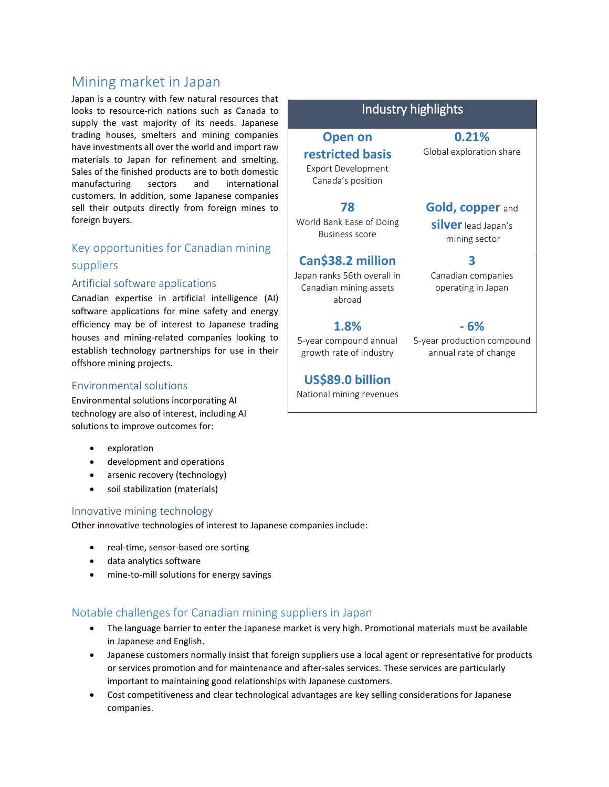# Mining market in Japan

Japan is a country with few natural resources that looks to resource-rich nations such as Canada to supply the vast majority of its needs. Japanese trading houses, smelters and mining companies have investments all over the world and import raw materials to Japan for refinement and smelting. Sales of the finished products are to both domestic manufacturing sectors and international customers. In addition, some Japanese companies sell their outputs directly from foreign mines to foreign buyers.

## Key opportunities for Canadian mining suppliers

### Artificial software applications

Canadian expertise in artificial intelligence (AI) software applications for mine safety and energy efficiency may be of interest to Japanese trading houses and mining-related companies looking to establish technology partnerships for use in their offshore mining projects.

### Environmental solutions

Environmental solutions incorporating AI technology are also of interest, including AI solutions to improve outcomes for:

- exploration
- development and operations
- arsenic recovery (technology)
- soil stabilization (materials)

#### Innovative mining technology

Other innovative technologies of interest to Japanese companies include:

- real-time, sensor-based ore sorting
- data analytics software
- mine-to-mill solutions for energy savings

### Notable challenges for Canadian mining suppliers in Japan

- The language barrier to enter the Japanese market is very high. Promotional materials must be available in Japanese and English.
- Japanese customers normally insist that foreign suppliers use a local agent or representative for products or services promotion and for maintenance and after-sales services. These services are particularly important to maintaining good relationships with Japanese customers.
- Cost competitiveness and clear technological advantages are key selling considerations for Japanese companies.

## Industry highlights

# **Open on restricted basis** Export Development Canada's position **78**

World Bank Ease of Doing Business score

# **Can\$38.2 million**

Japan ranks 56th overall in Canadian mining assets abroad

### **1.8%**

5-year compound annual growth rate of industry

## **US\$89.0 billion**

National mining revenues

**0.21%** Global exploration share

# **Gold, copper** and

**silver**lead Japan's mining sector

## **3**

Canadian companies operating in Japan

## **- 6%**

5-year production compound annual rate of change